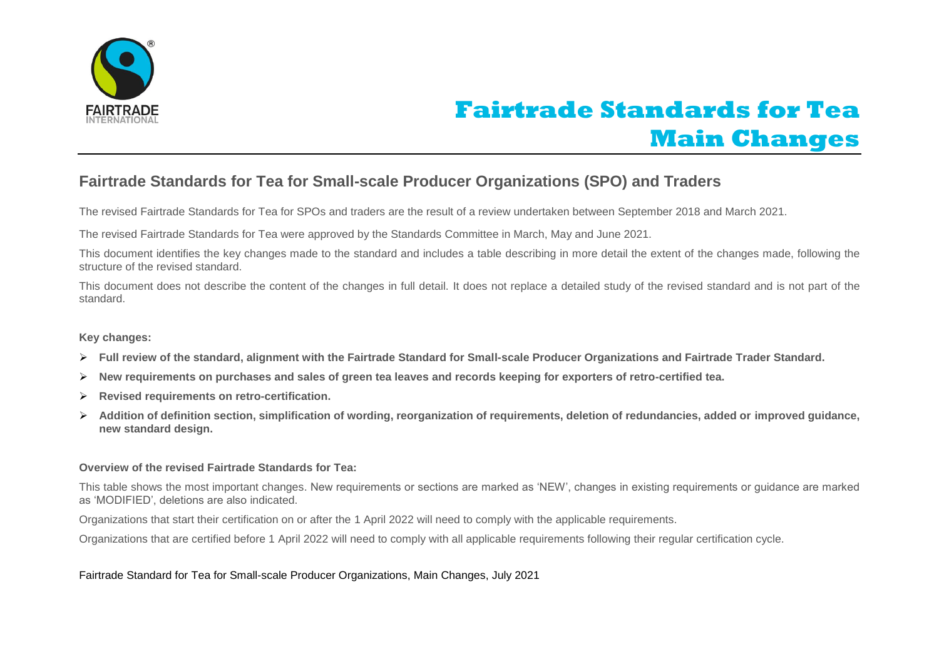

# **Fairtrade Standards for Tea Main Changes**

## **Fairtrade Standards for Tea for Small-scale Producer Organizations (SPO) and Traders**

The revised Fairtrade Standards for Tea for SPOs and traders are the result of a review undertaken between September 2018 and March 2021.

The revised Fairtrade Standards for Tea were approved by the Standards Committee in March, May and June 2021.

This document identifies the key changes made to the standard and includes a table describing in more detail the extent of the changes made, following the structure of the revised standard.

This document does not describe the content of the changes in full detail. It does not replace a detailed study of the revised standard and is not part of the standard.

#### **Key changes:**

- **Full review of the standard, alignment with the Fairtrade Standard for Small-scale Producer Organizations and Fairtrade Trader Standard.**
- **New requirements on purchases and sales of green tea leaves and records keeping for exporters of retro-certified tea.**
- **Revised requirements on retro-certification.**
- **Addition of definition section, simplification of wording, reorganization of requirements, deletion of redundancies, added or improved guidance, new standard design.**

#### **Overview of the revised Fairtrade Standards for Tea:**

This table shows the most important changes. New requirements or sections are marked as 'NEW', changes in existing requirements or guidance are marked as 'MODIFIED', deletions are also indicated.

Organizations that start their certification on or after the 1 April 2022 will need to comply with the applicable requirements.

Organizations that are certified before 1 April 2022 will need to comply with all applicable requirements following their regular certification cycle.

### Fairtrade Standard for Tea for Small-scale Producer Organizations, Main Changes, July 2021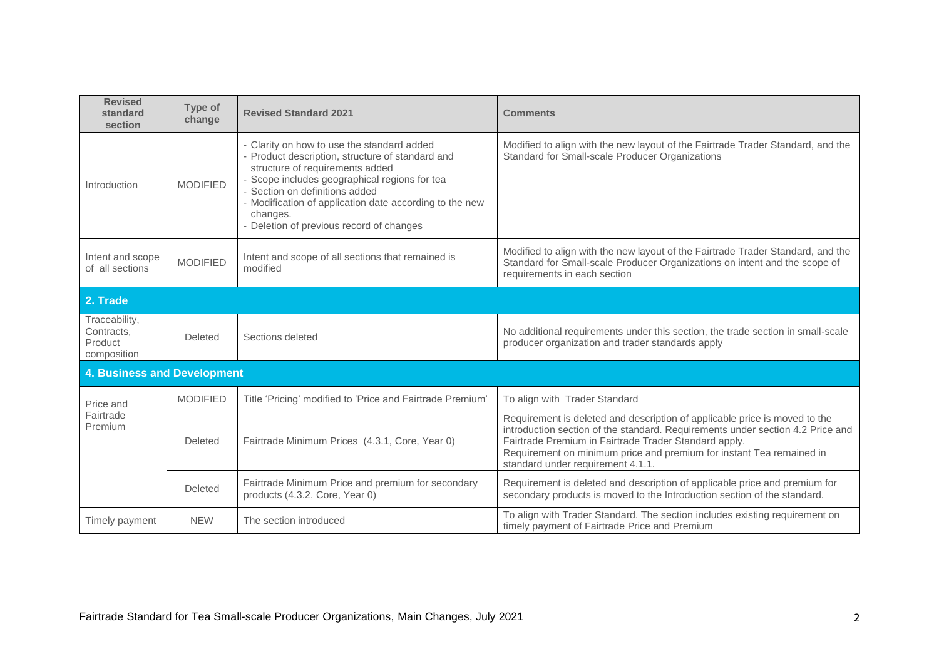| <b>Revised</b><br>standard<br>section                 | Type of<br>change | <b>Revised Standard 2021</b>                                                                                                                                                                                                                                                                                                            | <b>Comments</b>                                                                                                                                                                                                                                                                                                                    |  |
|-------------------------------------------------------|-------------------|-----------------------------------------------------------------------------------------------------------------------------------------------------------------------------------------------------------------------------------------------------------------------------------------------------------------------------------------|------------------------------------------------------------------------------------------------------------------------------------------------------------------------------------------------------------------------------------------------------------------------------------------------------------------------------------|--|
| Introduction                                          | <b>MODIFIED</b>   | - Clarity on how to use the standard added<br>- Product description, structure of standard and<br>structure of requirements added<br>- Scope includes geographical regions for tea<br>- Section on definitions added<br>- Modification of application date according to the new<br>changes.<br>- Deletion of previous record of changes | Modified to align with the new layout of the Fairtrade Trader Standard, and the<br>Standard for Small-scale Producer Organizations                                                                                                                                                                                                 |  |
| Intent and scope<br>of all sections                   | <b>MODIFIED</b>   | Intent and scope of all sections that remained is<br>modified                                                                                                                                                                                                                                                                           | Modified to align with the new layout of the Fairtrade Trader Standard, and the<br>Standard for Small-scale Producer Organizations on intent and the scope of<br>requirements in each section                                                                                                                                      |  |
| 2. Trade                                              |                   |                                                                                                                                                                                                                                                                                                                                         |                                                                                                                                                                                                                                                                                                                                    |  |
| Traceability,<br>Contracts,<br>Product<br>composition | Deleted           | Sections deleted                                                                                                                                                                                                                                                                                                                        | No additional requirements under this section, the trade section in small-scale<br>producer organization and trader standards apply                                                                                                                                                                                                |  |
| <b>4. Business and Development</b>                    |                   |                                                                                                                                                                                                                                                                                                                                         |                                                                                                                                                                                                                                                                                                                                    |  |
| Price and<br>Fairtrade<br>Premium                     | <b>MODIFIED</b>   | Title 'Pricing' modified to 'Price and Fairtrade Premium'                                                                                                                                                                                                                                                                               | To align with Trader Standard                                                                                                                                                                                                                                                                                                      |  |
|                                                       | Deleted           | Fairtrade Minimum Prices (4.3.1, Core, Year 0)                                                                                                                                                                                                                                                                                          | Requirement is deleted and description of applicable price is moved to the<br>introduction section of the standard. Requirements under section 4.2 Price and<br>Fairtrade Premium in Fairtrade Trader Standard apply.<br>Requirement on minimum price and premium for instant Tea remained in<br>standard under requirement 4.1.1. |  |
|                                                       | Deleted           | Fairtrade Minimum Price and premium for secondary<br>products (4.3.2, Core, Year 0)                                                                                                                                                                                                                                                     | Requirement is deleted and description of applicable price and premium for<br>secondary products is moved to the Introduction section of the standard.                                                                                                                                                                             |  |
| Timely payment                                        | <b>NEW</b>        | The section introduced                                                                                                                                                                                                                                                                                                                  | To align with Trader Standard. The section includes existing requirement on<br>timely payment of Fairtrade Price and Premium                                                                                                                                                                                                       |  |